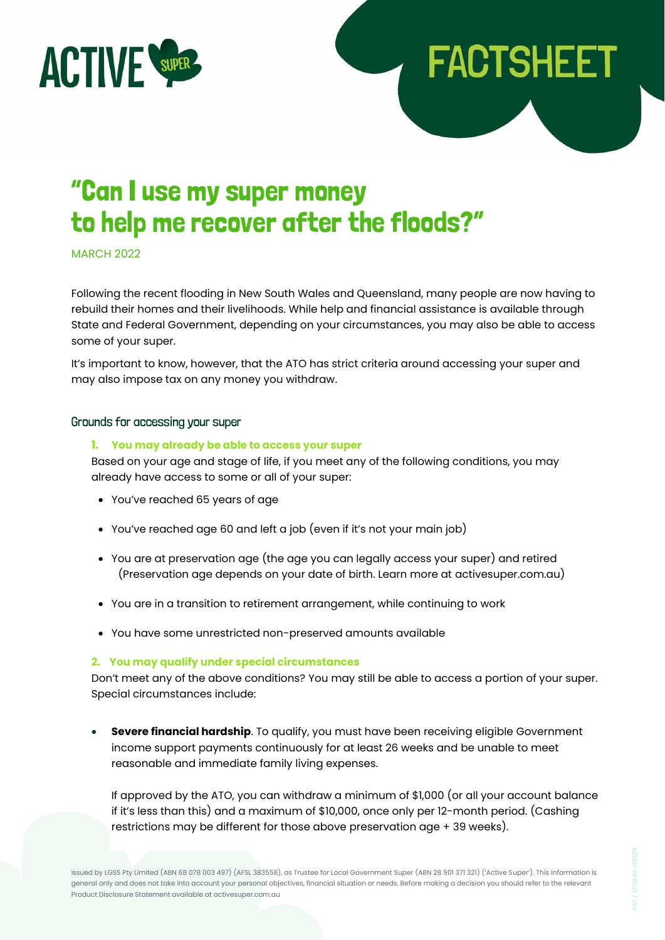

# "Can I use my super money to help me recover after the floods?"

MARCH 2022

Following the recent flooding in New South Wales and Queensland, many people are now having to rebuild their homes and their livelihoods. While help and financial assistance is available through State and Federal Government, depending on your circumstances, you may also be able to access some of your super.

**FACTSHEET** 

It's important to know, however, that the ATO has strict criteria around accessing your super and may also impose tax on any money you withdraw.

## Grounds for accessing your super

### **1. You may already be able to access your super**

Based on your age and stage of life, if you meet any of the following conditions, you may already have access to some or all of your super:

- You've reached 65 years of age
- You've reached age 60 and left a job (even if it's not your main job)
- You are at preservation age (the age you can legally access your super) and retired (Preservation age depends on your date of birth. Learn more at activesuper.com.au)
- You are in a transition to retirement arrangement, while continuing to work
- You have some unrestricted non-preserved amounts available

### **2. You may qualify under special circumstances**

Don't meet any of the above conditions? You may still be able to access a portion of your super. Special circumstances include:

• **Severe financial hardship**. To qualify, you must have been receiving eligible Government income support payments continuously for at least 26 weeks and be unable to meet reasonable and immediate family living expenses.

If approved by the ATO, you can withdraw a minimum of \$1,000 (or all your account balance if it's less than this) and a maximum of \$10,000, once only per 12-month period. (Cashing restrictions may be different for those above preservation age + 39 weeks).